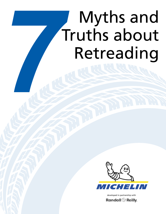# **7 Myths and Truths about**<br>Retreading Truths about Retreading



developed in partnership with

**Randall @ Reilly.**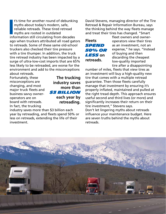I's time for another round of debunkin<br>
myths about today's modern, safe,<br>
reliable retreads. These tired retread<br>
myths are rooted in outdated<br>
information still circulating from decades t's time for another round of debunking myths about today's modern, safe, reliable retreads. These tired retread myths are rooted in outdated ago when truckers attributed all road gators to retreads. Some of these same old-school truckers also checked their tire pressure with a tire thumper. In addition, the truck tire retread industry has been impacted by a surge of ultra-low-cost imports that are 65% less likely to be retreaded, are worse for the environment and add to the misconceptions about retreads.

Fortunately, these misconceptions are changing, and most major truck fleets and business savvy owneroperators are on board with retreads. In fact, the trucking

**The trucking industry saves more than**  *\$3 billion* **each year by retreading.**

industry saves more than \$3 billion each year by retreading, and fleets spend 50% or less on retreads, extending the life of their investment.

David Stevens, managing director of the Tire Retread & Repair Information Bureau, says the thinking behind the way fleets manage and treat their tires has changed. "Smart

**Fleets**  *spend 50% or less* **on retreads.**

fleet owners and owneroperators view their tires as an investment, not an expense," he says. "Instead of buying and then discarding the cheapest low-quality imported tire after a disappointing

number of miles, fleets that view tires as an investment will buy a high-quality new tire that comes with a multiple retread guarantee. Then those fleets carefully manage that investment by ensuring it's properly inflated, maintained and pulled at the right tread depth. This approach ensures useful second and third lives (or more) and significantly increases their return on their tire investment," Stevens says. Don't let lingering myths about retreads influence your maintenance budget. Here are seven truths behind the myths about retreads.

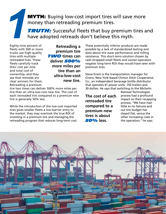### **MYTH:** Buying low-cost import tires will save more money than retreading premium tires.

**TRUTH:** Successful fleets that buy premium tires and have adopted retreads don't believe this myth.

Eighty-nine percent of fleets with 500 or more trucks use high-quality tires with multiple retreaded lives. These fleets carefully track their cost per mile and total cost of ownership, and they see that retreads are clear winners for them. Retreading a premium

*1*

**Retreading a premium tire TWO** times can **deliver** *500%*  **more miles per tire than an ultra-low-cost new tire.**

tire two times can deliver 500% more miles per tire than an ultra-low-cost new tire. The cost of each retreaded tire compared to a premium new tire is generally 50% less.

While the introduction of the low-cost imported tires gives smaller fleets a low-barrier entry to the market, they may overlook the true ROI of investing in a premium tire and managing the retreading program that reduces long-term cost. These potentially inferior products are made possible by a lack of standardized testing and data about tire wear performance and rolling resistance. This short-term solution chosen by cash-strapped small fleets and owner-operators negates long-term ROI they would have seen with premium tires.

Steve Erwin is the transportation manager for Cicero, New York-based Clinton Ditch Cooperative Co., an independent beverage bottle distributor that operates 41 power units, 150 trailers and 30 dollies. He says that switching to the Michelin

**The cost of each retreaded tire compared to a premium new tires is about** *50%* **less.**

Retread Technologies process had a profound impact on their recapping process. "We have had little to no failures and our tire budget has stayed flat, versus the other increasing costs in the operation," he says.

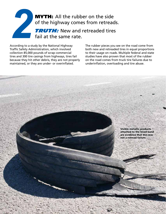## **MYTH:** All the rubber on the side of the highway comes from retreads. **TRUTH:** New and retreaded tires fail at the same rate. *2*

According to a study by the National Highway Traffic Safety Administration, which involved collection 85,000 pounds of scrap commercial tires and 300 tire casings from highways, tires fail because they hit other debris, they are not properly maintained, or they are under- or overinflated.

The rubber pieces you see on the road come from both new and retreaded tires in equal proportions to their usage on roads. Multiple federal and state studies have also proven that most of the rubber on the road comes from truck tire failures due to underinflation, overloading and tire abuse.

> Visible metallic products attached to the tread band are evidence that this was not a retread failure.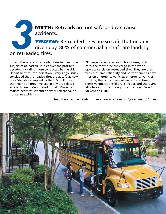## **MYTH:** Retreads are not safe and can cause accidents. **TRUTH:** Retreaded tires are so safe that on any given day, 80% of commercial aircraft are landing on retreaded tires. **3**<br>on retread

In fact, the safety of retreaded tires has been the subject of at least six studies over the past two decades, including those conducted by the U.S. Department of Transportation. Every single study concluded that retreaded tires are as safe as new tires. Statistics compiled by the U.S. DOT show that nearly all tires involved in any tire related accidents are underinflated or bald. Properly maintained tires, whether new or retreaded, do not cause accidents.

"Emergency vehicles and school buses, which carry the most precious cargo in the world, operate safely on retreaded tires. They are used with the same reliability and performance as new tires on emergency vehicles, emergency vehicles, trucking fleets, commercial aircraft and timesensitive operations like UPS, FedEx and the USPS, all while cutting costs significantly," says David Stevens of TRIB.

Read the extensive safety studies at *www.retread.org/government-studies* 

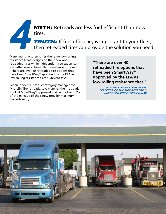MYTH: Retreads are less fuel efficient than new tires.

**TRUTH:** If fuel efficiency is important to your fleet, then retreaded tires can provide the solution you need.

Many manufacturers offer the same low-rolling resistance tread designs on their new and retreaded tires while independent retreaders can also offer several low-rolling resistance options. "There are over 40 retreaded tire options that have been SmartWay® approved by the EPA as low-rolling resistance tires," Stevens says.

*4*

Glenn Stockstill, product category manager for Michelin Tire retreads, says many of their retreads are EPA SmartWay® approved and can deliver 80% of the mileage of their new tires for maximum fuel efficiency.

**"There are over 40 retreaded tire options that have been SmartWay® approved by the EPA as low-rolling resistance tires."**

> **– David Stevens, managing director of the Tire Retread & Repair Information Bureau**

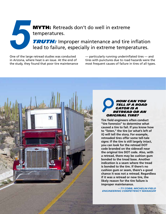MYTH: Retreads don't do well in extreme temperatures.

**TRUTH:** Improper maintenance and tire inflation lead to failure, especially in extreme temperatures.

One of the large retread studies was conducted in Arizona, where heat is an issue. At the end of the study, they found that poor tire maintenance

*5*

— particularly running underinflated tires — and tires with punctures due to road hazards were the most frequent causes of failure in tires of all types.



#### *How can you tell if a road gator is a retread or an original tire?*

**Tire field engineers often conduct "tire forensics" to determine what caused a tire to fail. If you know how to "listen," the tire (or what's left of it) will tell the story. For example, retreaded tires offer some tell-tale signs: If the tire is still largely intact, you can look for the retread DOT code branded on the sidewall near the original tire DOT code. Also, with a retread, there may be cushion gum bonded to the tread base. Another indication is a seam where the tread is bonded to the tire. If there's no cushion gum or seam, there's a good chance it was not a retread. Regardless if it was a retread or new tire, the likely reason for the tire failure is improper maintenance.**

**– Ty Cobb, Michelin Field Engineering Competency Manager**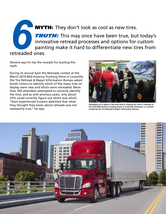**MYTH:** They don't look as cool as new tires. **TRUTH:** This may once have been true, but today's innovative retread processes and options for custom painting make it hard to differentiate new tires from retreaded ones. **6**<br>Pretreaded

Stevens says he has the receipts for busting this myth.

During its annual Spot the Retreads contest at the March 2019 Mid-America Trucking Show in Louisville, the Tire Retread & Repair Information Bureau asked booth visitors to identify which of the many tires on display were new and which were retreaded. More than 350 attendees attempted to correctly identify the tires, and as with previous years, only about 25% could correctly figure out which was which. "Even experienced truckers admitted that what they thought they knew about retreads was not necessarily true," he says.



**Attendees try to guess if the tires they're viewing are new or retreads at the 2019 Mid-America Trucking Show in Louisville, Kentucky, in a contest hosted by the Tire Retread & Repair Information Bureau.**

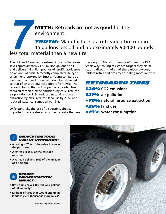**MYTH:** Retreads are not as good for the environment.

**TRUTH:** Manufacturing a retreaded tire requires 15 gallons less oil and approximately 90-100 pounds less total material than a new tire. **7**<br>*1*<br>*8*<br>*8*<br>*8*<br>*8*<br>*8*<br>*8* 

The U.S. and Canada tire retread industry therefore saves approximately 217.5 million gallons of oil and delivers 1.4 billion pounds of landfill avoidance on an annual basis. A recently completed life cycle assessment reported by Ernst & Young compared a well-manufactured tire which could be retreaded to that of an ultra-low-cost import from Asia. The research found that in Europe the retreaded tire reduced carbon dioxide emissions by 24%, reduced air pollution by 21%, reduced natural resource extraction by 70%, reduced land use by 29%, and reduced water consumption by 19%.

Unfortunately, the use of disposable, cheap, imported tires creates environmental risks that are stacking up. Many of them don't meet the EPA SmartWay® rolling resistance targets they claim to, and disposing of all of these ultra-low-cost, seldom retreaded tires means filling more landfills.

*Retreaded tires 24%***CO2 emissions**  *21%* **air pollution**  *70%***natural resource extraction**  *29%* **land use**  *19%* **water consumption**



#### *reduce tire total cost of ownership*

- **• A casing is 70% of the value in a new tire purchase**
- **• A retread is 35% of the cost of a new tire**
- **• A retread delivers 80% of the mileage of a new tire**



- **• Retreading saves 100 million+ gallons of oil annually\***
- **• Millions of tires that would end up in landfills yield thousands more miles\***

*\*retread.org/learn-more*